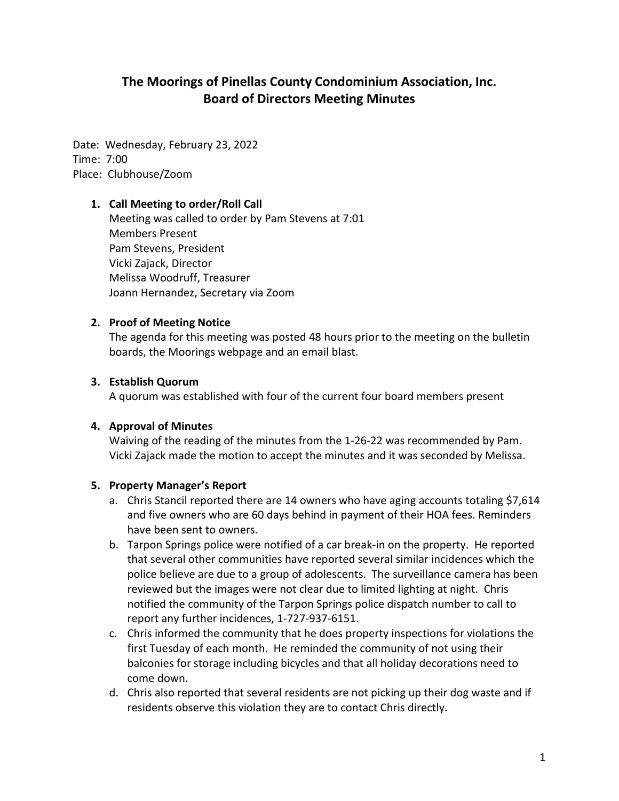# **The Moorings of Pinellas County Condominium Association, Inc. Board of Directors Meeting Minutes**

Date: Wednesday, February 23, 2022 Time: 7:00 Place: Clubhouse/Zoom

#### **1. Call Meeting to order/Roll Call**

Meeting was called to order by Pam Stevens at 7:01 Members Present Pam Stevens, President Vicki Zajack, Director Melissa Woodruff, Treasurer Joann Hernandez, Secretary via Zoom

#### **2. Proof of Meeting Notice**

The agenda for this meeting was posted 48 hours prior to the meeting on the bulletin boards, the Moorings webpage and an email blast.

#### **3. Establish Quorum**

A quorum was established with four of the current four board members present

#### **4. Approval of Minutes**

Waiving of the reading of the minutes from the 1-26-22 was recommended by Pam. Vicki Zajack made the motion to accept the minutes and it was seconded by Melissa.

## **5. Property Manager's Report**

- a. Chris Stancil reported there are 14 owners who have aging accounts totaling \$7,614 and five owners who are 60 days behind in payment of their HOA fees. Reminders have been sent to owners.
- b. Tarpon Springs police were notified of a car break-in on the property. He reported that several other communities have reported several similar incidences which the police believe are due to a group of adolescents. The surveillance camera has been reviewed but the images were not clear due to limited lighting at night. Chris notified the community of the Tarpon Springs police dispatch number to call to report any further incidences, 1-727-937-6151.
- c. Chris informed the community that he does property inspections for violations the first Tuesday of each month. He reminded the community of not using their balconies for storage including bicycles and that all holiday decorations need to come down.
- d. Chris also reported that several residents are not picking up their dog waste and if residents observe this violation they are to contact Chris directly.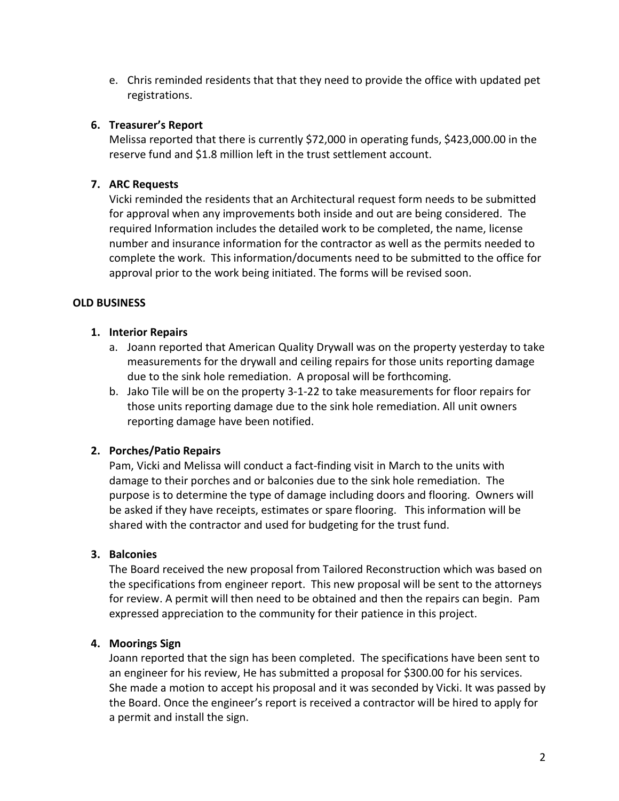e. Chris reminded residents that that they need to provide the office with updated pet registrations.

## **6. Treasurer's Report**

Melissa reported that there is currently \$72,000 in operating funds, \$423,000.00 in the reserve fund and \$1.8 million left in the trust settlement account.

# **7. ARC Requests**

Vicki reminded the residents that an Architectural request form needs to be submitted for approval when any improvements both inside and out are being considered. The required Information includes the detailed work to be completed, the name, license number and insurance information for the contractor as well as the permits needed to complete the work. This information/documents need to be submitted to the office for approval prior to the work being initiated. The forms will be revised soon.

## **OLD BUSINESS**

## **1. Interior Repairs**

- a. Joann reported that American Quality Drywall was on the property yesterday to take measurements for the drywall and ceiling repairs for those units reporting damage due to the sink hole remediation. A proposal will be forthcoming.
- b. Jako Tile will be on the property 3-1-22 to take measurements for floor repairs for those units reporting damage due to the sink hole remediation. All unit owners reporting damage have been notified.

## **2. Porches/Patio Repairs**

Pam, Vicki and Melissa will conduct a fact-finding visit in March to the units with damage to their porches and or balconies due to the sink hole remediation. The purpose is to determine the type of damage including doors and flooring. Owners will be asked if they have receipts, estimates or spare flooring. This information will be shared with the contractor and used for budgeting for the trust fund.

## **3. Balconies**

The Board received the new proposal from Tailored Reconstruction which was based on the specifications from engineer report. This new proposal will be sent to the attorneys for review. A permit will then need to be obtained and then the repairs can begin. Pam expressed appreciation to the community for their patience in this project.

## **4. Moorings Sign**

Joann reported that the sign has been completed. The specifications have been sent to an engineer for his review, He has submitted a proposal for \$300.00 for his services. She made a motion to accept his proposal and it was seconded by Vicki. It was passed by the Board. Once the engineer's report is received a contractor will be hired to apply for a permit and install the sign.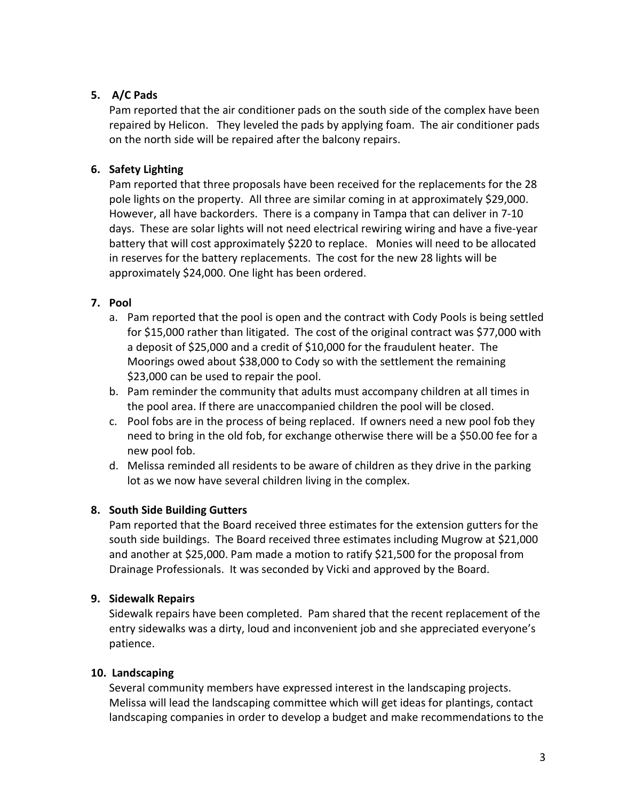## **5. A/C Pads**

Pam reported that the air conditioner pads on the south side of the complex have been repaired by Helicon. They leveled the pads by applying foam. The air conditioner pads on the north side will be repaired after the balcony repairs.

# **6. Safety Lighting**

Pam reported that three proposals have been received for the replacements for the 28 pole lights on the property. All three are similar coming in at approximately \$29,000. However, all have backorders. There is a company in Tampa that can deliver in 7-10 days. These are solar lights will not need electrical rewiring wiring and have a five-year battery that will cost approximately \$220 to replace. Monies will need to be allocated in reserves for the battery replacements. The cost for the new 28 lights will be approximately \$24,000. One light has been ordered.

# **7. Pool**

- a. Pam reported that the pool is open and the contract with Cody Pools is being settled for \$15,000 rather than litigated. The cost of the original contract was \$77,000 with a deposit of \$25,000 and a credit of \$10,000 for the fraudulent heater. The Moorings owed about \$38,000 to Cody so with the settlement the remaining \$23,000 can be used to repair the pool.
- b. Pam reminder the community that adults must accompany children at all times in the pool area. If there are unaccompanied children the pool will be closed.
- c. Pool fobs are in the process of being replaced. If owners need a new pool fob they need to bring in the old fob, for exchange otherwise there will be a \$50.00 fee for a new pool fob.
- d. Melissa reminded all residents to be aware of children as they drive in the parking lot as we now have several children living in the complex.

# **8. South Side Building Gutters**

Pam reported that the Board received three estimates for the extension gutters for the south side buildings. The Board received three estimates including Mugrow at \$21,000 and another at \$25,000. Pam made a motion to ratify \$21,500 for the proposal from Drainage Professionals. It was seconded by Vicki and approved by the Board.

# **9. Sidewalk Repairs**

Sidewalk repairs have been completed. Pam shared that the recent replacement of the entry sidewalks was a dirty, loud and inconvenient job and she appreciated everyone's patience.

# **10. Landscaping**

Several community members have expressed interest in the landscaping projects. Melissa will lead the landscaping committee which will get ideas for plantings, contact landscaping companies in order to develop a budget and make recommendations to the